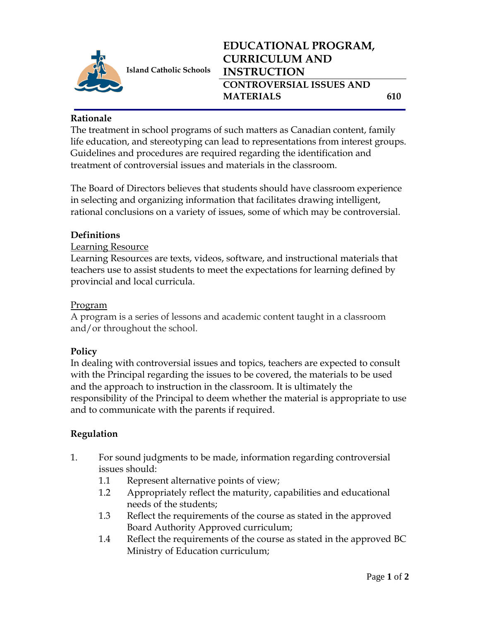

**Island Catholic Schools** 

### **Rationale**

The treatment in school programs of such matters as Canadian content, family life education, and stereotyping can lead to representations from interest groups. Guidelines and procedures are required regarding the identification and treatment of controversial issues and materials in the classroom.

The Board of Directors believes that students should have classroom experience in selecting and organizing information that facilitates drawing intelligent, rational conclusions on a variety of issues, some of which may be controversial.

## **Definitions**

## Learning Resource

Learning Resources are texts, videos, software, and instructional materials that teachers use to assist students to meet the expectations for learning defined by provincial and local curricula.

## Program

A program is a series of lessons and academic content taught in a classroom and/or throughout the school.

## **Policy**

In dealing with controversial issues and topics, teachers are expected to consult with the Principal regarding the issues to be covered, the materials to be used and the approach to instruction in the classroom. It is ultimately the responsibility of the Principal to deem whether the material is appropriate to use and to communicate with the parents if required.

# **Regulation**

- 1. For sound judgments to be made, information regarding controversial issues should:
	- 1.1 Represent alternative points of view;
	- 1.2 Appropriately reflect the maturity, capabilities and educational needs of the students;
	- 1.3 Reflect the requirements of the course as stated in the approved Board Authority Approved curriculum;
	- 1.4 Reflect the requirements of the course as stated in the approved BC Ministry of Education curriculum;